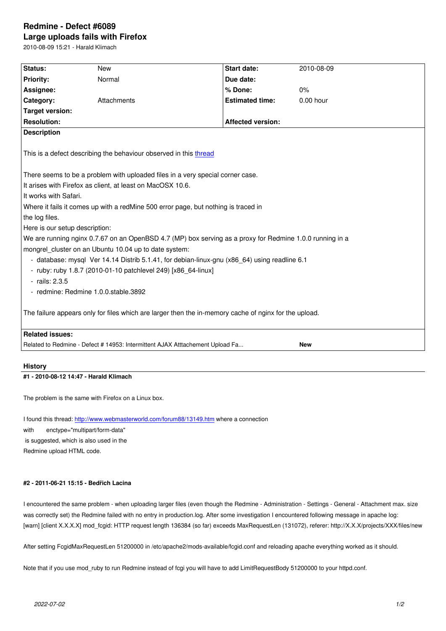#### **Large uploads fails with Firefox**

2010-08-09 15:21 - Harald Klimach

| Status:                                                                                                  | <b>New</b>  | <b>Start date:</b>       | 2010-08-09  |
|----------------------------------------------------------------------------------------------------------|-------------|--------------------------|-------------|
| <b>Priority:</b>                                                                                         | Normal      | Due date:                |             |
| Assignee:                                                                                                |             | % Done:                  | 0%          |
| Category:                                                                                                | Attachments | <b>Estimated time:</b>   | $0.00$ hour |
| <b>Target version:</b>                                                                                   |             |                          |             |
| <b>Resolution:</b>                                                                                       |             | <b>Affected version:</b> |             |
| <b>Description</b>                                                                                       |             |                          |             |
|                                                                                                          |             |                          |             |
| This is a defect describing the behaviour observed in this thread                                        |             |                          |             |
|                                                                                                          |             |                          |             |
| There seems to be a problem with uploaded files in a very special corner case.                           |             |                          |             |
| It arises with Firefox as client, at least on MacOSX 10.6.                                               |             |                          |             |
| It works with Safari.                                                                                    |             |                          |             |
| Where it fails it comes up with a redMine 500 error page, but nothing is traced in                       |             |                          |             |
| the log files.                                                                                           |             |                          |             |
| Here is our setup description:                                                                           |             |                          |             |
| We are running nginx 0.7.67 on an OpenBSD 4.7 (MP) box serving as a proxy for Redmine 1.0.0 running in a |             |                          |             |
| mongrel cluster on an Ubuntu 10.04 up to date system:                                                    |             |                          |             |
| - database: mysql Ver 14.14 Distrib 5.1.41, for debian-linux-gnu (x86 64) using readline 6.1             |             |                          |             |
| - ruby: ruby 1.8.7 (2010-01-10 patchlevel 249) [x86_64-linux]                                            |             |                          |             |
| $-$ rails: 2.3.5                                                                                         |             |                          |             |
| - redmine: Redmine 1.0.0. stable 3892                                                                    |             |                          |             |
|                                                                                                          |             |                          |             |
| The failure appears only for files which are larger then the in-memory cache of nginx for the upload.    |             |                          |             |
|                                                                                                          |             |                          |             |
| <b>Related issues:</b>                                                                                   |             |                          |             |
| Related to Redmine - Defect # 14953: Intermittent AJAX Atttachement Upload Fa<br><b>New</b>              |             |                          |             |
|                                                                                                          |             |                          |             |

# **History**

## **#1 - 2010-08-12 14:47 - Harald Klimach**

The problem is the same with Firefox on a Linux box.

I found this thread: http://www.webmasterworld.com/forum88/13149.htm where a connection with enctype="multipart/form-data" is suggested, which is also used in the Redmine upload H[TML code.](http://www.webmasterworld.com/forum88/13149.htm)

# **#2 - 2011-06-21 15:15 - Bedřich Lacina**

I encountered the same problem - when uploading larger files (even though the Redmine - Administration - Settings - General - Attachment max. size was correctly set) the Redmine failed with no entry in production.log. After some investigation I encountered following message in apache log: [warn] [client X.X.X.X] mod\_fcgid: HTTP request length 136384 (so far) exceeds MaxRequestLen (131072), referer: http://X.X.X/projects/XXX/files/new

After setting FcgidMaxRequestLen 51200000 in /etc/apache2/mods-available/fcgid.conf and reloading apache everything worked as it should.

Note that if you use mod\_ruby to run Redmine instead of fcgi you will have to add LimitRequestBody 51200000 to your httpd.conf.